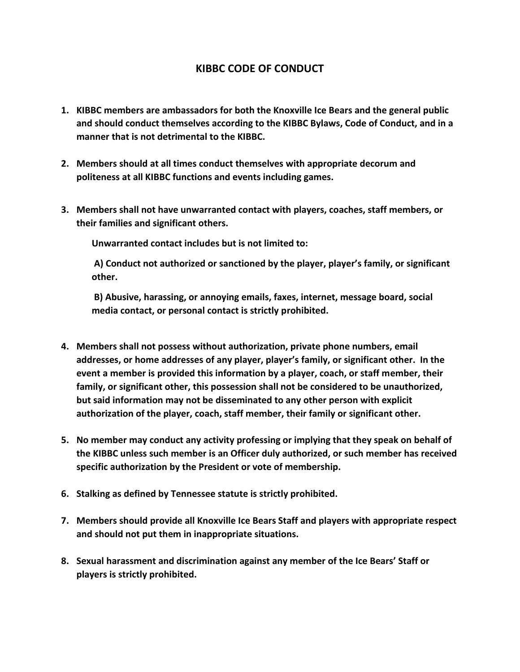## **KIBBC CODE OF CONDUCT**

- **1. KIBBC members are ambassadors for both the Knoxville Ice Bears and the general public and should conduct themselves according to the KIBBC Bylaws, Code of Conduct, and in a manner that is not detrimental to the KIBBC.**
- **2. Members should at all times conduct themselves with appropriate decorum and politeness at all KIBBC functions and events including games.**
- **3. Members shall not have unwarranted contact with players, coaches, staff members, or their families and significant others.**

**Unwarranted contact includes but is not limited to:** 

**A) Conduct not authorized or sanctioned by the player, player's family, or significant other.** 

**B) Abusive, harassing, or annoying emails, faxes, internet, message board, social media contact, or personal contact is strictly prohibited.**

- **4. Members shall not possess without authorization, private phone numbers, email addresses, or home addresses of any player, player's family, or significant other. In the event a member is provided this information by a player, coach, or staff member, their family, or significant other, this possession shall not be considered to be unauthorized, but said information may not be disseminated to any other person with explicit authorization of the player, coach, staff member, their family or significant other.**
- **5. No member may conduct any activity professing or implying that they speak on behalf of the KIBBC unless such member is an Officer duly authorized, or such member has received specific authorization by the President or vote of membership.**
- **6. Stalking as defined by Tennessee statute is strictly prohibited.**
- **7. Members should provide all Knoxville Ice Bears Staff and players with appropriate respect and should not put them in inappropriate situations.**
- **8. Sexual harassment and discrimination against any member of the Ice Bears' Staff or players is strictly prohibited.**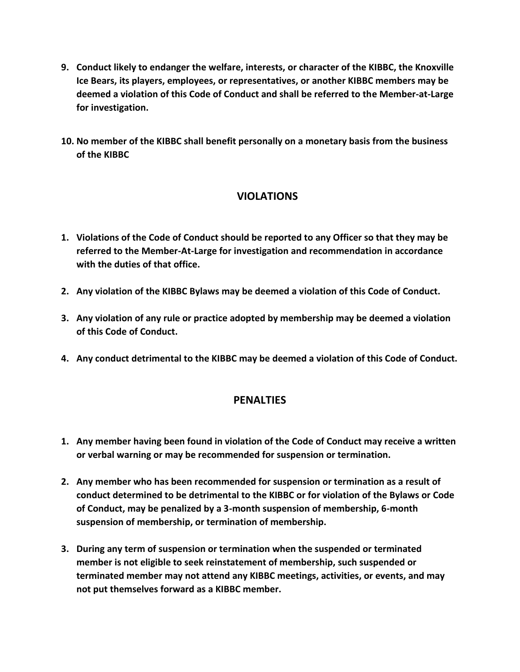- **9. Conduct likely to endanger the welfare, interests, or character of the KIBBC, the Knoxville Ice Bears, its players, employees, or representatives, or another KIBBC members may be deemed a violation of this Code of Conduct and shall be referred to the Member-at-Large for investigation.**
- **10. No member of the KIBBC shall benefit personally on a monetary basis from the business of the KIBBC**

## **VIOLATIONS**

- **1. Violations of the Code of Conduct should be reported to any Officer so that they may be referred to the Member-At-Large for investigation and recommendation in accordance with the duties of that office.**
- **2. Any violation of the KIBBC Bylaws may be deemed a violation of this Code of Conduct.**
- **3. Any violation of any rule or practice adopted by membership may be deemed a violation of this Code of Conduct.**
- **4. Any conduct detrimental to the KIBBC may be deemed a violation of this Code of Conduct.**

## **PENALTIES**

- **1. Any member having been found in violation of the Code of Conduct may receive a written or verbal warning or may be recommended for suspension or termination.**
- **2. Any member who has been recommended for suspension or termination as a result of conduct determined to be detrimental to the KIBBC or for violation of the Bylaws or Code of Conduct, may be penalized by a 3-month suspension of membership, 6-month suspension of membership, or termination of membership.**
- **3. During any term of suspension or termination when the suspended or terminated member is not eligible to seek reinstatement of membership, such suspended or terminated member may not attend any KIBBC meetings, activities, or events, and may not put themselves forward as a KIBBC member.**